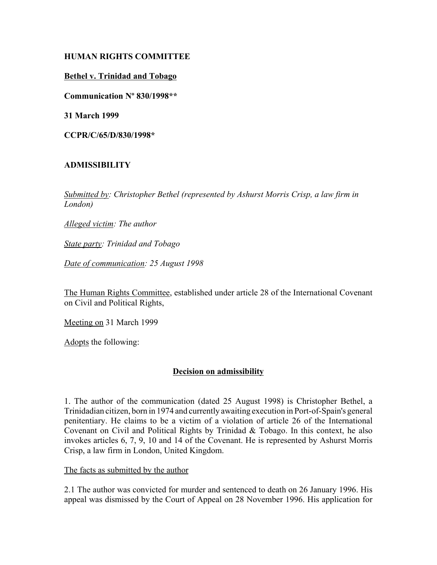# **HUMAN RIGHTS COMMITTEE**

### **Bethel v. Trinidad and Tobago**

**Communication Nº 830/1998\*\***

**31 March 1999**

**CCPR/C/65/D/830/1998\***

# **ADMISSIBILITY**

*Submitted by: Christopher Bethel (represented by Ashurst Morris Crisp, a law firm in London)* 

*Alleged victim: The author* 

*State party: Trinidad and Tobago* 

*Date of communication: 25 August 1998*

The Human Rights Committee, established under article 28 of the International Covenant on Civil and Political Rights,

Meeting on 31 March 1999

Adopts the following:

### **Decision on admissibility**

1. The author of the communication (dated 25 August 1998) is Christopher Bethel, a Trinidadian citizen, born in 1974 and currently awaiting execution in Port-of-Spain's general penitentiary. He claims to be a victim of a violation of article 26 of the International Covenant on Civil and Political Rights by Trinidad & Tobago. In this context, he also invokes articles 6, 7, 9, 10 and 14 of the Covenant. He is represented by Ashurst Morris Crisp, a law firm in London, United Kingdom.

The facts as submitted by the author

2.1 The author was convicted for murder and sentenced to death on 26 January 1996. His appeal was dismissed by the Court of Appeal on 28 November 1996. His application for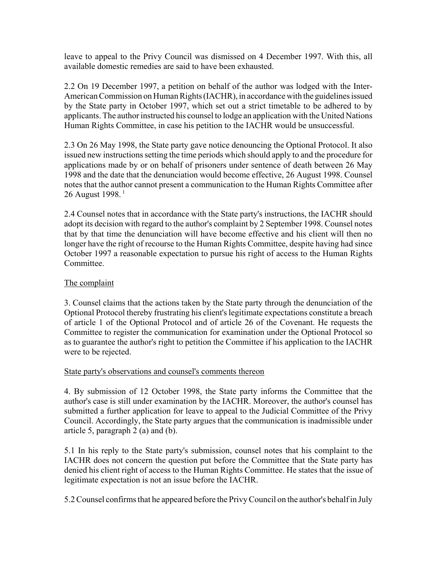leave to appeal to the Privy Council was dismissed on 4 December 1997. With this, all available domestic remedies are said to have been exhausted.

2.2 On 19 December 1997, a petition on behalf of the author was lodged with the Inter-American Commission on Human Rights (IACHR), in accordance with the guidelines issued by the State party in October 1997, which set out a strict timetable to be adhered to by applicants. The author instructed his counsel to lodge an application with the United Nations Human Rights Committee, in case his petition to the IACHR would be unsuccessful.

2.3 On 26 May 1998, the State party gave notice denouncing the Optional Protocol. It also issued new instructions setting the time periods which should apply to and the procedure for applications made by or on behalf of prisoners under sentence of death between 26 May 1998 and the date that the denunciation would become effective, 26 August 1998. Counsel notes that the author cannot present a communication to the Human Rights Committee after 26 August 1998.<sup>1</sup>

2.4 Counsel notes that in accordance with the State party's instructions, the IACHR should adopt its decision with regard to the author's complaint by 2 September 1998. Counsel notes that by that time the denunciation will have become effective and his client will then no longer have the right of recourse to the Human Rights Committee, despite having had since October 1997 a reasonable expectation to pursue his right of access to the Human Rights Committee.

## The complaint

3. Counsel claims that the actions taken by the State party through the denunciation of the Optional Protocol thereby frustrating his client's legitimate expectations constitute a breach of article 1 of the Optional Protocol and of article 26 of the Covenant. He requests the Committee to register the communication for examination under the Optional Protocol so as to guarantee the author's right to petition the Committee if his application to the IACHR were to be rejected.

### State party's observations and counsel's comments thereon

4. By submission of 12 October 1998, the State party informs the Committee that the author's case is still under examination by the IACHR. Moreover, the author's counsel has submitted a further application for leave to appeal to the Judicial Committee of the Privy Council. Accordingly, the State party argues that the communication is inadmissible under article 5, paragraph 2 (a) and (b).

5.1 In his reply to the State party's submission, counsel notes that his complaint to the IACHR does not concern the question put before the Committee that the State party has denied his client right of access to the Human Rights Committee. He states that the issue of legitimate expectation is not an issue before the IACHR.

5.2 Counsel confirms that he appeared before the Privy Council on the author's behalf in July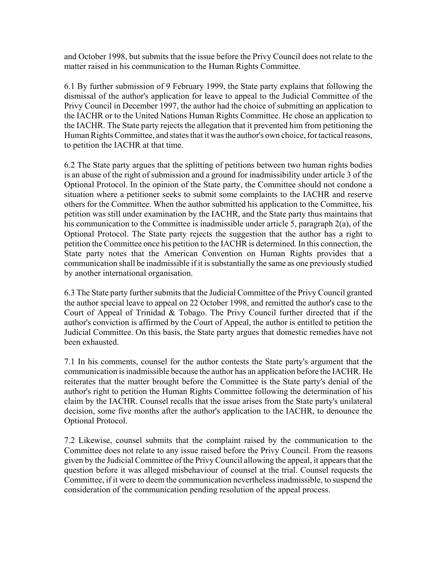and October 1998, but submits that the issue before the Privy Council does not relate to the matter raised in his communication to the Human Rights Committee.

6.1 By further submission of 9 February 1999, the State party explains that following the dismissal of the author's application for leave to appeal to the Judicial Committee of the Privy Council in December 1997, the author had the choice of submitting an application to the IACHR or to the United Nations Human Rights Committee. He chose an application to the IACHR. The State party rejects the allegation that it prevented him from petitioning the Human Rights Committee, and states that it was the author's own choice, for tactical reasons, to petition the IACHR at that time.

6.2 The State party argues that the splitting of petitions between two human rights bodies is an abuse of the right of submission and a ground for inadmissibility under article 3 of the Optional Protocol. In the opinion of the State party, the Committee should not condone a situation where a petitioner seeks to submit some complaints to the IACHR and reserve others for the Committee. When the author submitted his application to the Committee, his petition was still under examination by the IACHR, and the State party thus maintains that his communication to the Committee is inadmissible under article 5, paragraph 2(a), of the Optional Protocol. The State party rejects the suggestion that the author has a right to petition the Committee once his petition to the IACHR is determined. In this connection, the State party notes that the American Convention on Human Rights provides that a communication shall be inadmissible if it is substantially the same as one previously studied by another international organisation.

6.3 The State party further submits that the Judicial Committee of the Privy Council granted the author special leave to appeal on 22 October 1998, and remitted the author's case to the Court of Appeal of Trinidad & Tobago. The Privy Council further directed that if the author's conviction is affirmed by the Court of Appeal, the author is entitled to petition the Judicial Committee. On this basis, the State party argues that domestic remedies have not been exhausted.

7.1 In his comments, counsel for the author contests the State party's argument that the communication is inadmissible because the author has an application before the IACHR. He reiterates that the matter brought before the Committee is the State party's denial of the author's right to petition the Human Rights Committee following the determination of his claim by the IACHR. Counsel recalls that the issue arises from the State party's unilateral decision, some five months after the author's application to the IACHR, to denounce the Optional Protocol.

7.2 Likewise, counsel submits that the complaint raised by the communication to the Committee does not relate to any issue raised before the Privy Council. From the reasons given by the Judicial Committee of the Privy Council allowing the appeal, it appears that the question before it was alleged misbehaviour of counsel at the trial. Counsel requests the Committee, if it were to deem the communication nevertheless inadmissible, to suspend the consideration of the communication pending resolution of the appeal process.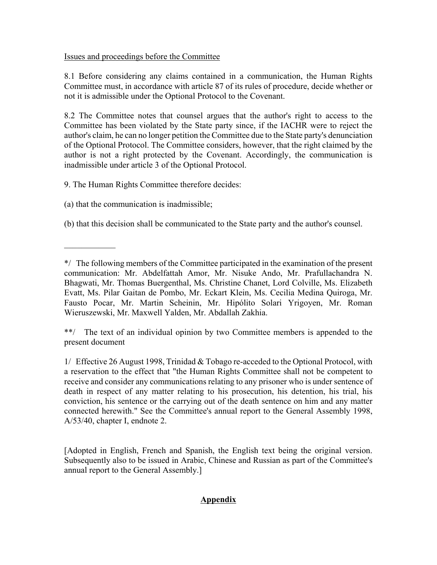# Issues and proceedings before the Committee

8.1 Before considering any claims contained in a communication, the Human Rights Committee must, in accordance with article 87 of its rules of procedure, decide whether or not it is admissible under the Optional Protocol to the Covenant.

8.2 The Committee notes that counsel argues that the author's right to access to the Committee has been violated by the State party since, if the IACHR were to reject the author's claim, he can no longer petition the Committee due to the State party's denunciation of the Optional Protocol. The Committee considers, however, that the right claimed by the author is not a right protected by the Covenant. Accordingly, the communication is inadmissible under article 3 of the Optional Protocol.

9. The Human Rights Committee therefore decides:

(a) that the communication is inadmissible;

 $\mathcal{L}_\text{max}$ 

(b) that this decision shall be communicated to the State party and the author's counsel.

\*\*/ The text of an individual opinion by two Committee members is appended to the present document

1/ Effective 26 August 1998, Trinidad & Tobago re-acceded to the Optional Protocol, with a reservation to the effect that "the Human Rights Committee shall not be competent to receive and consider any communications relating to any prisoner who is under sentence of death in respect of any matter relating to his prosecution, his detention, his trial, his conviction, his sentence or the carrying out of the death sentence on him and any matter connected herewith." See the Committee's annual report to the General Assembly 1998, A/53/40, chapter I, endnote 2.

[Adopted in English, French and Spanish, the English text being the original version. Subsequently also to be issued in Arabic, Chinese and Russian as part of the Committee's annual report to the General Assembly.]

# **Appendix**

<sup>\*/</sup> The following members of the Committee participated in the examination of the present communication: Mr. Abdelfattah Amor, Mr. Nisuke Ando, Mr. Prafullachandra N. Bhagwati, Mr. Thomas Buergenthal, Ms. Christine Chanet, Lord Colville, Ms. Elizabeth Evatt, Ms. Pilar Gaitan de Pombo, Mr. Eckart Klein, Ms. Cecilia Medina Quiroga, Mr. Fausto Pocar, Mr. Martin Scheinin, Mr. Hipólito Solari Yrigoyen, Mr. Roman Wieruszewski, Mr. Maxwell Yalden, Mr. Abdallah Zakhia.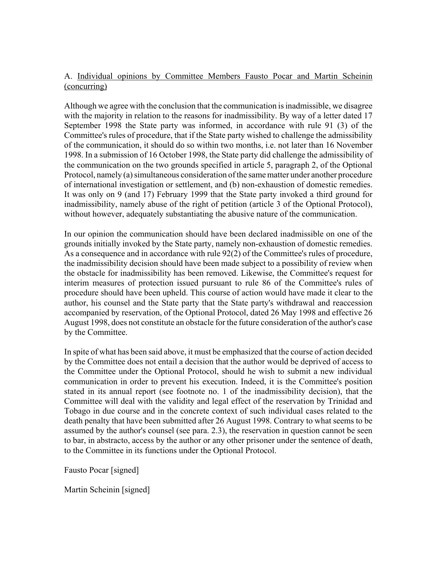# A. Individual opinions by Committee Members Fausto Pocar and Martin Scheinin (concurring)

Although we agree with the conclusion that the communication is inadmissible, we disagree with the majority in relation to the reasons for inadmissibility. By way of a letter dated 17 September 1998 the State party was informed, in accordance with rule 91 (3) of the Committee's rules of procedure, that if the State party wished to challenge the admissibility of the communication, it should do so within two months, i.e. not later than 16 November 1998. In a submission of 16 October 1998, the State party did challenge the admissibility of the communication on the two grounds specified in article 5, paragraph 2, of the Optional Protocol, namely (a) simultaneous consideration of the same matter under another procedure of international investigation or settlement, and (b) non-exhaustion of domestic remedies. It was only on 9 (and 17) February 1999 that the State party invoked a third ground for inadmissibility, namely abuse of the right of petition (article 3 of the Optional Protocol), without however, adequately substantiating the abusive nature of the communication.

In our opinion the communication should have been declared inadmissible on one of the grounds initially invoked by the State party, namely non-exhaustion of domestic remedies. As a consequence and in accordance with rule 92(2) of the Committee's rules of procedure, the inadmissibility decision should have been made subject to a possibility of review when the obstacle for inadmissibility has been removed. Likewise, the Committee's request for interim measures of protection issued pursuant to rule 86 of the Committee's rules of procedure should have been upheld. This course of action would have made it clear to the author, his counsel and the State party that the State party's withdrawal and reaccession accompanied by reservation, of the Optional Protocol, dated 26 May 1998 and effective 26 August 1998, does not constitute an obstacle for the future consideration of the author's case by the Committee.

In spite of what has been said above, it must be emphasized that the course of action decided by the Committee does not entail a decision that the author would be deprived of access to the Committee under the Optional Protocol, should he wish to submit a new individual communication in order to prevent his execution. Indeed, it is the Committee's position stated in its annual report (see footnote no. 1 of the inadmissibility decision), that the Committee will deal with the validity and legal effect of the reservation by Trinidad and Tobago in due course and in the concrete context of such individual cases related to the death penalty that have been submitted after 26 August 1998. Contrary to what seems to be assumed by the author's counsel (see para. 2.3), the reservation in question cannot be seen to bar, in abstracto, access by the author or any other prisoner under the sentence of death, to the Committee in its functions under the Optional Protocol.

Fausto Pocar [signed]

Martin Scheinin [signed]